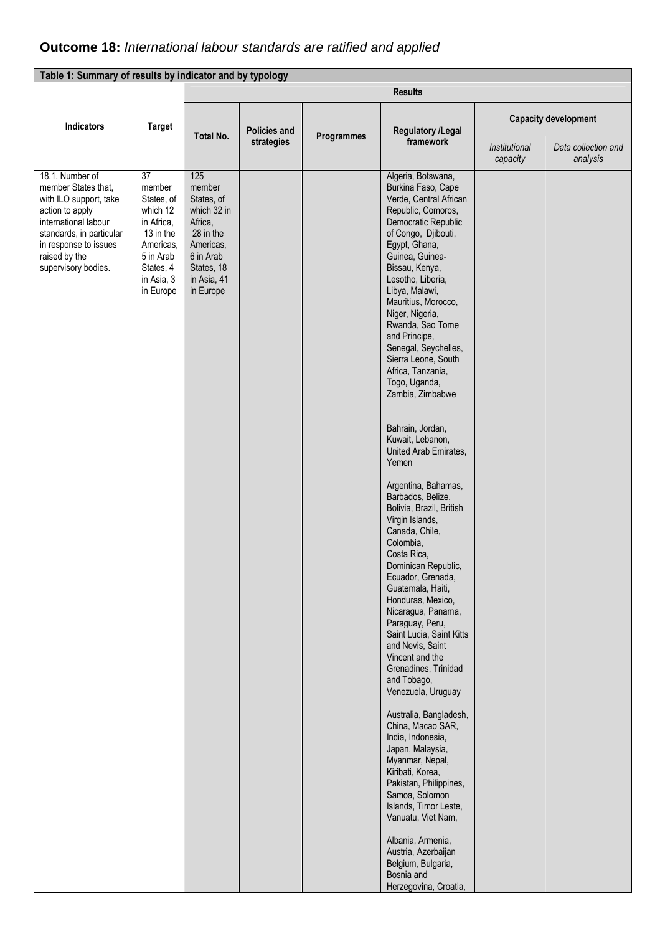## **Outcome 18:** International labour standards are ratified and applied

| Table 1: Summary of results by indicator and by typology                                                                                                                                                 |                                                                                                                                     |                                                                                                                                        |                                   |            |                                                                                                                                                                                                                                                                                                                                                                                                                                                                                                                                                                                                                                                                                                                                                                                                                                                                                                                                                                                                                                                                                                                                                              |               |                                                    |
|----------------------------------------------------------------------------------------------------------------------------------------------------------------------------------------------------------|-------------------------------------------------------------------------------------------------------------------------------------|----------------------------------------------------------------------------------------------------------------------------------------|-----------------------------------|------------|--------------------------------------------------------------------------------------------------------------------------------------------------------------------------------------------------------------------------------------------------------------------------------------------------------------------------------------------------------------------------------------------------------------------------------------------------------------------------------------------------------------------------------------------------------------------------------------------------------------------------------------------------------------------------------------------------------------------------------------------------------------------------------------------------------------------------------------------------------------------------------------------------------------------------------------------------------------------------------------------------------------------------------------------------------------------------------------------------------------------------------------------------------------|---------------|----------------------------------------------------|
|                                                                                                                                                                                                          |                                                                                                                                     |                                                                                                                                        |                                   |            | <b>Results</b>                                                                                                                                                                                                                                                                                                                                                                                                                                                                                                                                                                                                                                                                                                                                                                                                                                                                                                                                                                                                                                                                                                                                               |               |                                                    |
| Indicators                                                                                                                                                                                               | <b>Target</b>                                                                                                                       | Total No.                                                                                                                              | <b>Policies and</b><br>strategies | Programmes | <b>Regulatory /Legal</b><br>framework                                                                                                                                                                                                                                                                                                                                                                                                                                                                                                                                                                                                                                                                                                                                                                                                                                                                                                                                                                                                                                                                                                                        | Institutional | <b>Capacity development</b><br>Data collection and |
|                                                                                                                                                                                                          |                                                                                                                                     |                                                                                                                                        |                                   |            |                                                                                                                                                                                                                                                                                                                                                                                                                                                                                                                                                                                                                                                                                                                                                                                                                                                                                                                                                                                                                                                                                                                                                              | capacity      | analysis                                           |
| 18.1. Number of<br>member States that,<br>with ILO support, take<br>action to apply<br>international labour<br>standards, in particular<br>in response to issues<br>raised by the<br>supervisory bodies. | 37<br>member<br>States, of<br>which 12<br>in Africa,<br>13 in the<br>Americas,<br>5 in Arab<br>States, 4<br>in Asia, 3<br>in Europe | 125<br>member<br>States, of<br>which 32 in<br>Africa,<br>28 in the<br>Americas,<br>6 in Arab<br>States, 18<br>in Asia, 41<br>in Europe |                                   |            | Algeria, Botswana,<br>Burkina Faso, Cape<br>Verde, Central African<br>Republic, Comoros,<br>Democratic Republic<br>of Congo, Djibouti,<br>Egypt, Ghana,<br>Guinea, Guinea-<br>Bissau, Kenya,<br>Lesotho, Liberia,<br>Libya, Malawi,<br>Mauritius, Morocco,<br>Niger, Nigeria,<br>Rwanda, Sao Tome<br>and Principe,<br>Senegal, Seychelles,<br>Sierra Leone, South<br>Africa, Tanzania,<br>Togo, Uganda,<br>Zambia, Zimbabwe<br>Bahrain, Jordan,<br>Kuwait, Lebanon,<br>United Arab Emirates,<br>Yemen<br>Argentina, Bahamas,<br>Barbados, Belize,<br>Bolivia, Brazil, British<br>Virgin Islands,<br>Canada, Chile,<br>Colombia,<br>Costa Rica,<br>Dominican Republic,<br>Ecuador, Grenada,<br>Guatemala, Haiti,<br>Honduras, Mexico,<br>Nicaragua, Panama,<br>Paraguay, Peru,<br>Saint Lucia, Saint Kitts<br>and Nevis, Saint<br>Vincent and the<br>Grenadines, Trinidad<br>and Tobago,<br>Venezuela, Uruguay<br>Australia, Bangladesh,<br>China, Macao SAR,<br>India, Indonesia,<br>Japan, Malaysia,<br>Myanmar, Nepal,<br>Kiribati, Korea,<br>Pakistan, Philippines,<br>Samoa, Solomon<br>Islands, Timor Leste,<br>Vanuatu, Viet Nam,<br>Albania, Armenia, |               |                                                    |
|                                                                                                                                                                                                          |                                                                                                                                     |                                                                                                                                        |                                   |            | Austria, Azerbaijan<br>Belgium, Bulgaria,<br>Bosnia and<br>Herzegovina, Croatia,                                                                                                                                                                                                                                                                                                                                                                                                                                                                                                                                                                                                                                                                                                                                                                                                                                                                                                                                                                                                                                                                             |               |                                                    |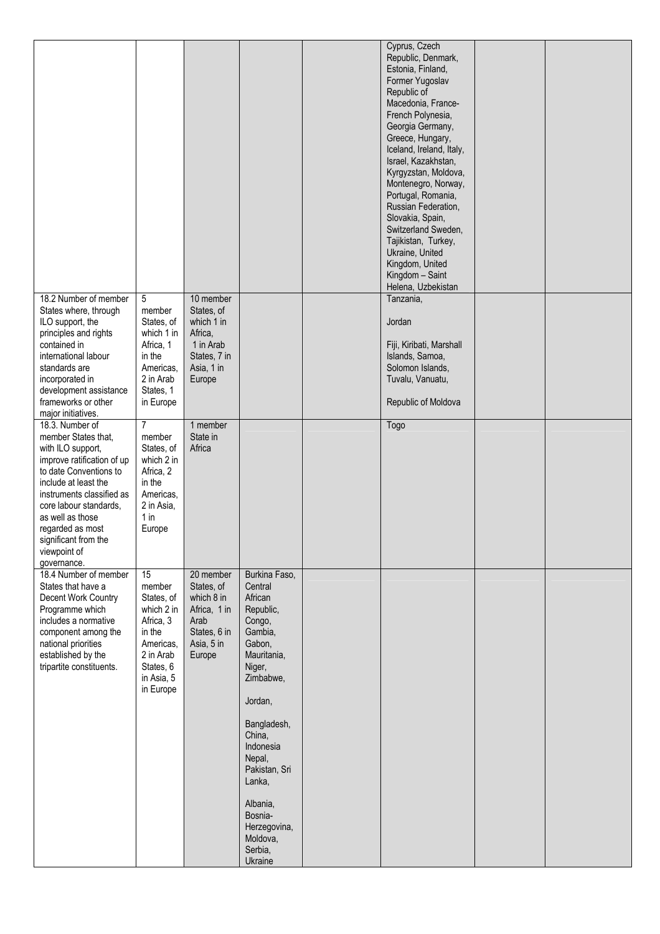|                                                                                                                                                                                                                                                                                                   |                                                                                                                                   |                                                                                                       |                                                                                                                                                                                                                                    | Cyprus, Czech<br>Republic, Denmark,<br>Estonia, Finland,<br>Former Yugoslav<br>Republic of<br>Macedonia, France-<br>French Polynesia,<br>Georgia Germany,<br>Greece, Hungary,<br>Iceland, Ireland, Italy,<br>Israel, Kazakhstan,<br>Kyrgyzstan, Moldova,<br>Montenegro, Norway,<br>Portugal, Romania,<br>Russian Federation,<br>Slovakia, Spain,<br>Switzerland Sweden,<br>Tajikistan, Turkey,<br>Ukraine, United<br>Kingdom, United<br>Kingdom - Saint<br>Helena, Uzbekistan |  |
|---------------------------------------------------------------------------------------------------------------------------------------------------------------------------------------------------------------------------------------------------------------------------------------------------|-----------------------------------------------------------------------------------------------------------------------------------|-------------------------------------------------------------------------------------------------------|------------------------------------------------------------------------------------------------------------------------------------------------------------------------------------------------------------------------------------|-------------------------------------------------------------------------------------------------------------------------------------------------------------------------------------------------------------------------------------------------------------------------------------------------------------------------------------------------------------------------------------------------------------------------------------------------------------------------------|--|
| 18.2 Number of member<br>States where, through<br>ILO support, the<br>principles and rights<br>contained in<br>international labour<br>standards are<br>incorporated in<br>development assistance<br>frameworks or other<br>major initiatives.                                                    | 5<br>member<br>States, of<br>which 1 in<br>Africa, 1<br>in the<br>Americas,<br>2 in Arab<br>States, 1<br>in Europe                | 10 member<br>States, of<br>which 1 in<br>Africa,<br>1 in Arab<br>States, 7 in<br>Asia, 1 in<br>Europe |                                                                                                                                                                                                                                    | Tanzania,<br>Jordan<br>Fiji, Kiribati, Marshall<br>Islands, Samoa,<br>Solomon Islands,<br>Tuvalu, Vanuatu,<br>Republic of Moldova                                                                                                                                                                                                                                                                                                                                             |  |
| 18.3. Number of<br>member States that,<br>with ILO support,<br>improve ratification of up<br>to date Conventions to<br>include at least the<br>instruments classified as<br>core labour standards,<br>as well as those<br>regarded as most<br>significant from the<br>viewpoint of<br>governance. | $\overline{7}$<br>member<br>States, of<br>which 2 in<br>Africa, 2<br>in the<br>Americas,<br>2 in Asia,<br>1 in<br>Europe          | 1 member<br>State in<br>Africa                                                                        |                                                                                                                                                                                                                                    | Togo                                                                                                                                                                                                                                                                                                                                                                                                                                                                          |  |
| 18.4 Number of member<br>States that have a<br>Decent Work Country<br>Programme which<br>includes a normative<br>component among the<br>national priorities<br>established by the<br>tripartite constituents.                                                                                     | 15<br>member<br>States, of<br>which 2 in<br>Africa, 3<br>in the<br>Americas,<br>2 in Arab<br>States, 6<br>in Asia, 5<br>in Europe | 20 member<br>States, of<br>which 8 in<br>Africa, 1 in<br>Arab<br>States, 6 in<br>Asia, 5 in<br>Europe | Burkina Faso,<br>Central<br>African<br>Republic,<br>Congo,<br>Gambia,<br>Gabon,<br>Mauritania,<br>Niger,<br>Zimbabwe,<br>Jordan,<br>Bangladesh,<br>China,<br>Indonesia<br>Nepal,<br>Pakistan, Sri<br>Lanka,<br>Albania,<br>Bosnia- |                                                                                                                                                                                                                                                                                                                                                                                                                                                                               |  |
|                                                                                                                                                                                                                                                                                                   |                                                                                                                                   |                                                                                                       | Herzegovina,<br>Moldova,<br>Serbia,<br>Ukraine                                                                                                                                                                                     |                                                                                                                                                                                                                                                                                                                                                                                                                                                                               |  |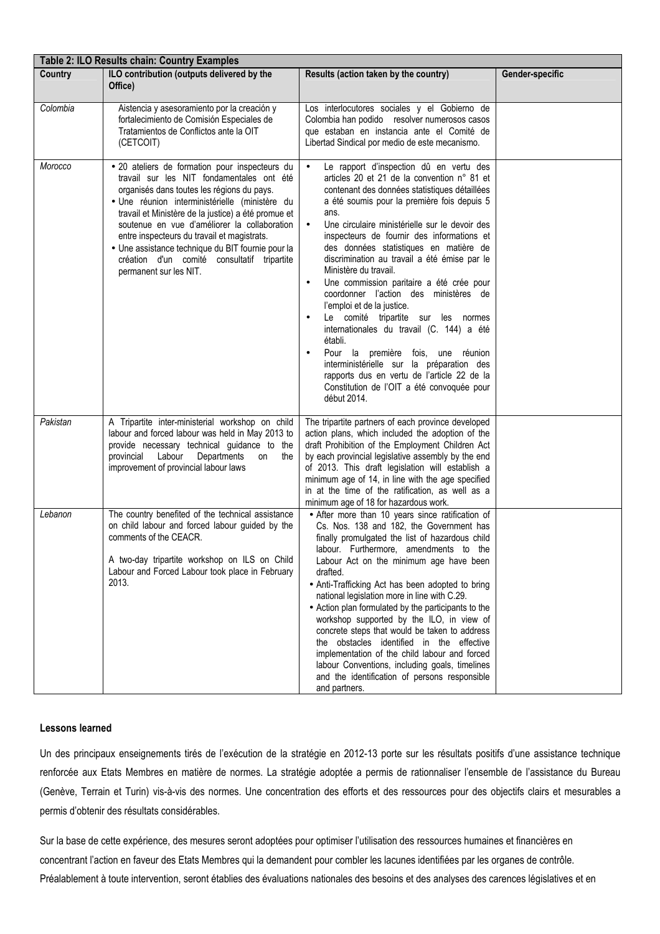| Table 2: ILO Results chain: Country Examples |                                                                                                                                                                                                                                                                                                                                                                                                                                                                                 |                                                                                                                                                                                                                                                                                                                                                                                                                                                                                                                                                                                                                                                                                                                                                                                                                                                              |                 |  |  |
|----------------------------------------------|---------------------------------------------------------------------------------------------------------------------------------------------------------------------------------------------------------------------------------------------------------------------------------------------------------------------------------------------------------------------------------------------------------------------------------------------------------------------------------|--------------------------------------------------------------------------------------------------------------------------------------------------------------------------------------------------------------------------------------------------------------------------------------------------------------------------------------------------------------------------------------------------------------------------------------------------------------------------------------------------------------------------------------------------------------------------------------------------------------------------------------------------------------------------------------------------------------------------------------------------------------------------------------------------------------------------------------------------------------|-----------------|--|--|
| Country                                      | ILO contribution (outputs delivered by the<br>Office)                                                                                                                                                                                                                                                                                                                                                                                                                           | Results (action taken by the country)                                                                                                                                                                                                                                                                                                                                                                                                                                                                                                                                                                                                                                                                                                                                                                                                                        | Gender-specific |  |  |
| Colombia                                     | Aistencia y asesoramiento por la creación y<br>fortalecimiento de Comisión Especiales de<br>Tratamientos de Conflictos ante la OIT<br>(CETCOIT)                                                                                                                                                                                                                                                                                                                                 | Los interlocutores sociales y el Gobierno de<br>Colombia han podido resolver numerosos casos<br>que estaban en instancia ante el Comité de<br>Libertad Sindical por medio de este mecanismo.                                                                                                                                                                                                                                                                                                                                                                                                                                                                                                                                                                                                                                                                 |                 |  |  |
| Morocco                                      | · 20 ateliers de formation pour inspecteurs du<br>travail sur les NIT fondamentales ont été<br>organisés dans toutes les régions du pays.<br>· Une réunion interministérielle (ministère du<br>travail et Ministère de la justice) a été promue et<br>soutenue en vue d'améliorer la collaboration<br>entre inspecteurs du travail et magistrats.<br>· Une assistance technique du BIT fournie pour la<br>création d'un comité consultatif tripartite<br>permanent sur les NIT. | Le rapport d'inspection dû en vertu des<br>articles 20 et 21 de la convention n° 81 et<br>contenant des données statistiques détaillées<br>a été soumis pour la première fois depuis 5<br>ans.<br>Une circulaire ministérielle sur le devoir des<br>$\bullet$<br>inspecteurs de fournir des informations et<br>des données statistiques en matière de<br>discrimination au travail a été émise par le<br>Ministère du travail.<br>Une commission paritaire a été crée pour<br>$\bullet$<br>coordonner l'action des ministères de<br>l'emploi et de la justice.<br>Le comité tripartite sur les normes<br>internationales du travail (C. 144) a été<br>établi.<br>Pour la première fois, une réunion<br>interministérielle sur la préparation des<br>rapports dus en vertu de l'article 22 de la<br>Constitution de l'OIT a été convoquée pour<br>début 2014. |                 |  |  |
| Pakistan                                     | A Tripartite inter-ministerial workshop on child<br>labour and forced labour was held in May 2013 to<br>provide necessary technical guidance to the<br>provincial<br>Labour<br>Departments<br>the<br>on<br>improvement of provincial labour laws                                                                                                                                                                                                                                | The tripartite partners of each province developed<br>action plans, which included the adoption of the<br>draft Prohibition of the Employment Children Act<br>by each provincial legislative assembly by the end<br>of 2013. This draft legislation will establish a<br>minimum age of 14, in line with the age specified<br>in at the time of the ratification, as well as a<br>minimum age of 18 for hazardous work.                                                                                                                                                                                                                                                                                                                                                                                                                                       |                 |  |  |
| Lebanon                                      | The country benefited of the technical assistance<br>on child labour and forced labour guided by the<br>comments of the CEACR.<br>A two-day tripartite workshop on ILS on Child<br>Labour and Forced Labour took place in February<br>2013.                                                                                                                                                                                                                                     | • After more than 10 years since ratification of<br>Cs. Nos. 138 and 182, the Government has<br>finally promulgated the list of hazardous child<br>labour. Furthermore, amendments to the<br>Labour Act on the minimum age have been<br>drafted.<br>• Anti-Trafficking Act has been adopted to bring<br>national legislation more in line with C.29.<br>• Action plan formulated by the participants to the<br>workshop supported by the ILO, in view of<br>concrete steps that would be taken to address<br>the obstacles identified in the effective<br>implementation of the child labour and forced<br>labour Conventions, including goals, timelines<br>and the identification of persons responsible<br>and partners.                                                                                                                                  |                 |  |  |

## **Lessons learned**

Un des principaux enseignements tirés de l'exécution de la stratégie en 2012-13 porte sur les résultats positifs d'une assistance technique renforcée aux Etats Membres en matière de normes. La stratégie adoptée a permis de rationnaliser l'ensemble de l'assistance du Bureau (Genève, Terrain et Turin) vis-à-vis des normes. Une concentration des efforts et des ressources pour des objectifs clairs et mesurables a permis d'obtenir des résultats considérables.

Sur la base de cette expérience, des mesures seront adoptées pour optimiser l'utilisation des ressources humaines et financières en concentrant l'action en faveur des Etats Membres qui la demandent pour combler les lacunes identifiées par les organes de contrôle. Préalablement à toute intervention, seront établies des évaluations nationales des besoins et des analyses des carences législatives et en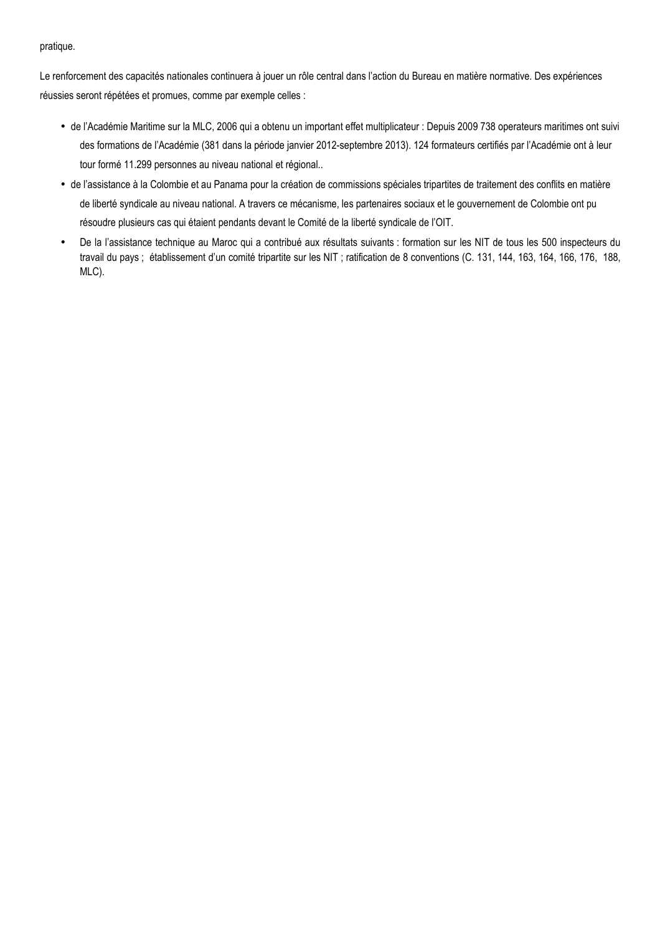## pratique.

Le renforcement des capacités nationales continuera à jouer un rôle central dans l'action du Bureau en matière normative. Des expériences réussies seront répétées et promues, comme par exemple celles :

- de l'Académie Maritime sur la MLC, 2006 qui a obtenu un important effet multiplicateur : Depuis 2009 738 operateurs maritimes ont suivi des formations de l'Académie (381 dans la période janvier 2012-septembre 2013). 124 formateurs certifiés par l'Académie ont à leur tour formé 11.299 personnes au niveau national et régional..
- de l'assistance à la Colombie et au Panama pour la création de commissions spéciales tripartites de traitement des conflits en matière de liberté syndicale au niveau national. A travers ce mécanisme, les partenaires sociaux et le gouvernement de Colombie ont pu résoudre plusieurs cas qui étaient pendants devant le Comité de la liberté syndicale de l'OIT.
- De la l'assistance technique au Maroc qui a contribué aux résultats suivants : formation sur les NIT de tous les 500 inspecteurs du travail du pays ; établissement d'un comité tripartite sur les NIT ; ratification de 8 conventions (C. 131, 144, 163, 164, 166, 176, 188, MLC).